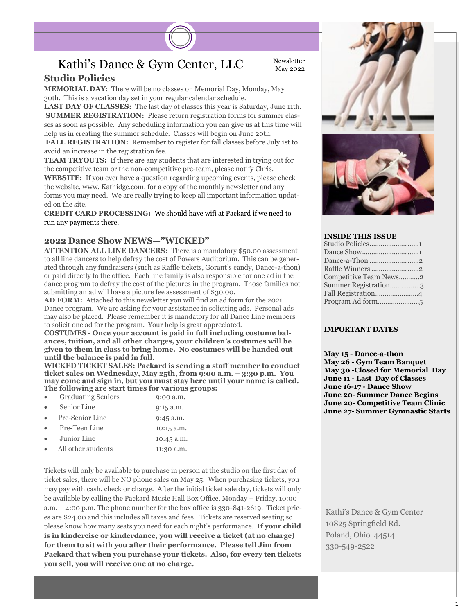### Kathi's Dance & Gym Center, LLC Newsletter

**Studio Policies**

**MEMORIAL DAY**: There will be no classes on Memorial Day, Monday, May 30th. This is a vacation day set in your regular calendar schedule.

**LAST DAY OF CLASSES:** The last day of classes this year is Saturday, June 11th. **SUMMER REGISTRATION:** Please return registration forms for summer classes as soon as possible. Any scheduling information you can give us at this time will help us in creating the summer schedule. Classes will begin on June 20th.

**FALL REGISTRATION:** Remember to register for fall classes before July 1st to avoid an increase in the registration fee.

**TEAM TRYOUTS:** If there are any students that are interested in trying out for the competitive team or the non-competitive pre-team, please notify Chris.

**WEBSITE:** If you ever have a question regarding upcoming events, please check the website, www. Kathidgc.com, for a copy of the monthly newsletter and any forms you may need. We are really trying to keep all important information updated on the site.

**CREDIT CARD PROCESSING:** We should have wifi at Packard if we need to run any payments there.

#### **2022 Dance Show NEWS—"WICKED"**

**ATTENTION ALL LINE DANCERS:** There is a mandatory \$50.00 assessment to all line dancers to help defray the cost of Powers Auditorium. This can be generated through any fundraisers (such as Raffle tickets, Gorant's candy, Dance-a-thon) or paid directly to the office. Each line family is also responsible for one ad in the dance program to defray the cost of the pictures in the program. Those families not submitting an ad will have a picture fee assessment of \$30.00.

**AD FORM:** Attached to this newsletter you will find an ad form for the 2021 Dance program. We are asking for your assistance in soliciting ads. Personal ads may also be placed. Please remember it is mandatory for all Dance Line members to solicit one ad for the program. Your help is great appreciated.

**COSTUMES** - **Once your account is paid in full including costume balances, tuition, and all other charges, your children's costumes will be given to them in class to bring home. No costumes will be handed out until the balance is paid in full.** 

**WICKED TICKET SALES: Packard is sending a staff member to conduct ticket sales on Wednesday, May 25th, from 9:00 a.m. – 3:30 p.m. You may come and sign in, but you must stay here until your name is called. The following are start times for various groups:** 

| $\bullet$ | <b>Graduating Seniors</b> | 9:00 a.m.   |
|-----------|---------------------------|-------------|
| $\bullet$ | Senior Line               | $9:15$ a.m. |
| $\bullet$ | Pre-Senior Line           | $9:45$ a.m. |
| $\bullet$ | Pre-Teen Line             | 10:15 a.m.  |
| $\bullet$ | Junior Line               | 10:45 a.m.  |
|           | All other students        | 11:30 a.m.  |
|           |                           |             |

Tickets will only be available to purchase in person at the studio on the first day of ticket sales, there will be NO phone sales on May 25. When purchasing tickets, you may pay with cash, check or charge. After the initial ticket sale day, tickets will only be available by calling the Packard Music Hall Box Office, Monday – Friday, 10:00 a.m. – 4:00 p.m. The phone number for the box office is 330-841-2619. Ticket prices are \$24.00 and this includes all taxes and fees. Tickets are reserved seating so please know how many seats you need for each night's performance. **If your child is in kindercise or kinderdance, you will receive a ticket (at no charge) for them to sit with you after their performance. Please tell Jim from Packard that when you purchase your tickets. Also, for every ten tickets you sell, you will receive one at no charge.** 



#### **INSIDE THIS ISSUE**

| Studio Policies1       |  |
|------------------------|--|
|                        |  |
|                        |  |
|                        |  |
| Competitive Team News2 |  |
| Summer Registration3   |  |
| Fall Registration4     |  |
|                        |  |
|                        |  |

#### **IMPORTANT DATES**

**May 15 - Dance-a-thon May 26 - Gym Team Banquet May 30 -Closed for Memorial Day June 11 - Last Day of Classes June 16-17 - Dance Show June 20- Summer Dance Begins June 20- Competitive Team Clinic June 27- Summer Gymnastic Starts**

Kathi's Dance & Gym Center 10825 Springfield Rd. Poland, Ohio 44514 330-549-2522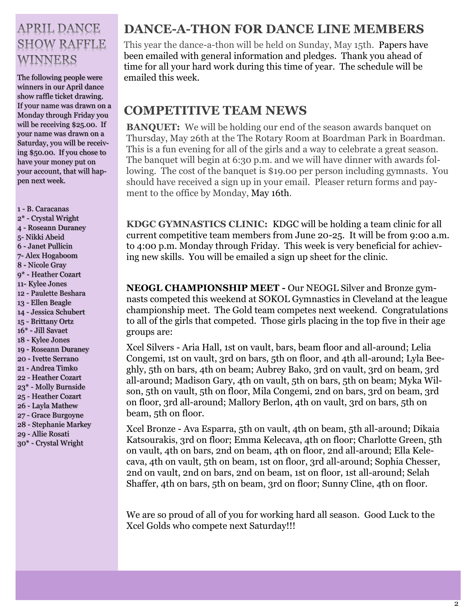## **APRIL DANCE SHOW RAFFLE** WINNERS

The following people were emailed this week. winners in our April dance show raffle ticket drawing. If your name was drawn on a Monday through Friday you will be receiving \$25.00. If your name was drawn on a Saturday, you will be receiving \$50.00. If you chose to have your money put on your account, that will happen next week.

- B. Caracanas 2\* - Crystal Wright - Roseann Duraney - Nikki Abeid - Janet Pullicin - Alex Hogaboom - Nicole Gray 9\* - Heather Cozart - Kylee Jones - Paulette Beshara - Ellen Beagle - Jessica Schubert - Brittany Ortz 16\* - Jill Savaet - Kylee Jones - Roseann Duraney - Ivette Serrano - Andrea Timko - Heather Cozart 23\* - Molly Burnside - Heather Cozart - Layla Mathew - Grace Burgoyne - Stephanie Markey - Allie Rosati 30\* - Crystal Wright

## **DANCE-A-THON FOR DANCE LINE MEMBERS**

This year the dance-a-thon will be held on Sunday, May 15th. Papers have been emailed with general information and pledges. Thank you ahead of time for all your hard work during this time of year. The schedule will be

### **COMPETITIVE TEAM NEWS**

**BANQUET:** We will be holding our end of the season awards banquet on Thursday, May 26th at the The Rotary Room at Boardman Park in Boardman. This is a fun evening for all of the girls and a way to celebrate a great season. The banquet will begin at 6:30 p.m. and we will have dinner with awards following. The cost of the banquet is \$19.00 per person including gymnasts. You should have received a sign up in your email. Pleaser return forms and payment to the office by Monday, May 16th.

**KDGC GYMNASTICS CLINIC:** KDGC will be holding a team clinic for all current competitive team members from June 20-25. It will be from 9:00 a.m. to 4:00 p.m. Monday through Friday. This week is very beneficial for achieving new skills. You will be emailed a sign up sheet for the clinic.

**NEOGL CHAMPIONSHIP MEET -** Our NEOGL Silver and Bronze gymnasts competed this weekend at SOKOL Gymnastics in Cleveland at the league championship meet. The Gold team competes next weekend. Congratulations to all of the girls that competed. Those girls placing in the top five in their age groups are:

Xcel Silvers - Aria Hall, 1st on vault, bars, beam floor and all-around; Lelia Congemi, 1st on vault, 3rd on bars, 5th on floor, and 4th all-around; Lyla Beeghly, 5th on bars, 4th on beam; Aubrey Bako, 3rd on vault, 3rd on beam, 3rd all-around; Madison Gary, 4th on vault, 5th on bars, 5th on beam; Myka Wilson, 5th on vault, 5th on floor, Mila Congemi, 2nd on bars, 3rd on beam, 3rd on floor, 3rd all-around; Mallory Berlon, 4th on vault, 3rd on bars, 5th on beam, 5th on floor.

Xcel Bronze - Ava Esparra, 5th on vault, 4th on beam, 5th all-around; Dikaia Katsourakis, 3rd on floor; Emma Kelecava, 4th on floor; Charlotte Green, 5th on vault, 4th on bars, 2nd on beam, 4th on floor, 2nd all-around; Ella Kelecava, 4th on vault, 5th on beam, 1st on floor, 3rd all-around; Sophia Chesser, 2nd on vault, 2nd on bars, 2nd on beam, 1st on floor, 1st all-around; Selah Shaffer, 4th on bars, 5th on beam, 3rd on floor; Sunny Cline, 4th on floor.

We are so proud of all of you for working hard all season. Good Luck to the Xcel Golds who compete next Saturday!!!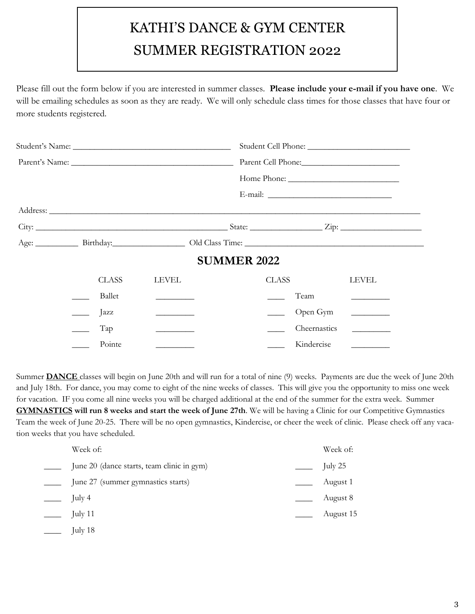# KATHI'S DANCE & GYM CENTER SUMMER REGISTRATION 2022

Please fill out the form below if you are interested in summer classes. **Please include your e-mail if you have one**. We will be emailing schedules as soon as they are ready. We will only schedule class times for those classes that have four or more students registered.

|  |              |                                                                                                                                                                                                                                      | <b>SUMMER 2022</b>       |              |                                                                |  |  |
|--|--------------|--------------------------------------------------------------------------------------------------------------------------------------------------------------------------------------------------------------------------------------|--------------------------|--------------|----------------------------------------------------------------|--|--|
|  | <b>CLASS</b> | <b>LEVEL</b>                                                                                                                                                                                                                         | CLASS                    |              | LEVEL                                                          |  |  |
|  | Ballet       |                                                                                                                                                                                                                                      |                          | Team         | <u>experience</u> and the contract of                          |  |  |
|  | Jazz         |                                                                                                                                                                                                                                      | $\overline{\phantom{a}}$ | Open Gym     |                                                                |  |  |
|  | Tap          | <u>and the company of the company of the company of the company of the company of the company of the company of the company of the company of the company of the company of the company of the company of the company of the com</u> |                          | Cheernastics | $\overline{\phantom{a}}$ . The set of $\overline{\phantom{a}}$ |  |  |
|  | Pointe       |                                                                                                                                                                                                                                      |                          | Kindercise   |                                                                |  |  |

Summer **DANCE** classes will begin on June 20th and will run for a total of nine (9) weeks. Payments are due the week of June 20th and July 18th. For dance, you may come to eight of the nine weeks of classes. This will give you the opportunity to miss one week for vacation. IF you come all nine weeks you will be charged additional at the end of the summer for the extra week. Summer **GYMNASTICS will run 8 weeks and start the week of June 27th**. We will be having a Clinic for our Competitive Gymnastics Team the week of June 20-25. There will be no open gymnastics, Kindercise, or cheer the week of clinic. Please check off any vacation weeks that you have scheduled.

| Week of:                                   | Week of:  |
|--------------------------------------------|-----------|
| June 20 (dance starts, team clinic in gym) | July 25   |
| June 27 (summer gymnastics starts)         | August 1  |
| July 4                                     | August 8  |
| July 11                                    | August 15 |
| July 18                                    |           |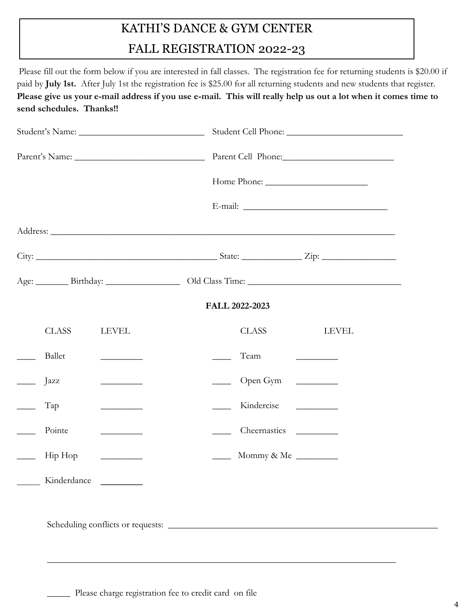# KATHI'S DANCE & GYM CENTER FALL REGISTRATION 2022-23

Please fill out the form below if you are interested in fall classes. The registration fee for returning students is \$20.00 if paid by **July 1st.** After July 1st the registration fee is \$25.00 for all returning students and new students that register. **Please give us your e-mail address if you use e-mail. This will really help us out a lot when it comes time to send schedules. Thanks!!** 

|  |              |                                                                                                                                                                                                                                      |                                                               | Parent Cell Phone:     |                                                                                                                                   |  |
|--|--------------|--------------------------------------------------------------------------------------------------------------------------------------------------------------------------------------------------------------------------------------|---------------------------------------------------------------|------------------------|-----------------------------------------------------------------------------------------------------------------------------------|--|
|  |              |                                                                                                                                                                                                                                      |                                                               |                        |                                                                                                                                   |  |
|  |              |                                                                                                                                                                                                                                      |                                                               |                        |                                                                                                                                   |  |
|  |              |                                                                                                                                                                                                                                      |                                                               |                        |                                                                                                                                   |  |
|  |              |                                                                                                                                                                                                                                      |                                                               |                        |                                                                                                                                   |  |
|  |              |                                                                                                                                                                                                                                      |                                                               |                        |                                                                                                                                   |  |
|  |              |                                                                                                                                                                                                                                      |                                                               | FALL 2022-2023         |                                                                                                                                   |  |
|  | <b>CLASS</b> | <b>LEVEL</b>                                                                                                                                                                                                                         |                                                               | <b>CLASS</b>           | <b>LEVEL</b>                                                                                                                      |  |
|  | Ballet       | <u> 1989 - Johann Stein, fransk politiker</u>                                                                                                                                                                                        |                                                               | Team                   | $\frac{1}{2} \left( \frac{1}{2} \right)^2 \left( \frac{1}{2} \right)^2 \left( \frac{1}{2} \right)^2 \left( \frac{1}{2} \right)^2$ |  |
|  | Jazz         |                                                                                                                                                                                                                                      |                                                               | Open Gym <u>Letter</u> |                                                                                                                                   |  |
|  | Tap          | <u> The Community of the Community of the Community of the Community of the Community of the Community of the Community of the Community of the Community of the Community of the Community of the Community of the Community of</u> | $\frac{1}{2}$ , $\frac{1}{2}$ , $\frac{1}{2}$ , $\frac{1}{2}$ | Kindercise __________  |                                                                                                                                   |  |
|  | Pointe       | <b>Contract Contract Contract</b>                                                                                                                                                                                                    |                                                               | Cheernastics           | <u> 1999 - John Barnett, fransk politiker</u>                                                                                     |  |
|  | Hip Hop      |                                                                                                                                                                                                                                      |                                                               | Mommy & Me             |                                                                                                                                   |  |
|  | Kinderdance  |                                                                                                                                                                                                                                      |                                                               |                        |                                                                                                                                   |  |
|  |              |                                                                                                                                                                                                                                      |                                                               |                        |                                                                                                                                   |  |

\_\_\_\_\_\_\_\_\_\_\_\_\_\_\_\_\_\_\_\_\_\_\_\_\_\_\_\_\_\_\_\_\_\_\_\_\_\_\_\_\_\_\_\_\_\_\_\_\_\_\_\_\_\_\_\_\_\_\_\_\_\_\_\_\_\_\_\_\_\_\_\_\_\_\_

Please charge registration fee to credit card on file